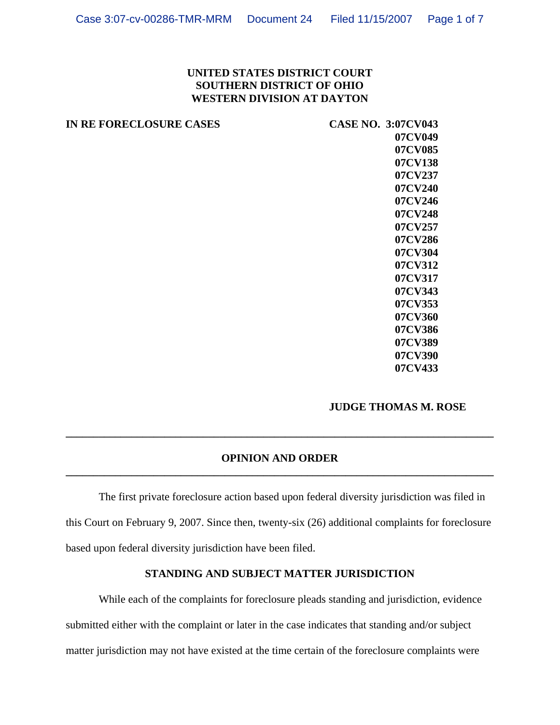# **UNITED STATES DISTRICT COURT SOUTHERN DISTRICT OF OHIO WESTERN DIVISION AT DAYTON**

| IN RE FORECLOSURE CASES | <b>CASE NO. 3:07CV043</b> |
|-------------------------|---------------------------|
|                         | 07CV049                   |
|                         | 07CV085                   |
|                         | 07CV138                   |
|                         | 07CV237                   |
|                         | 07CV240                   |
|                         | 07CV246                   |
|                         | 07CV248                   |
|                         | 07CV257                   |
|                         | 07CV286                   |
|                         | 07CV304                   |
|                         | 07CV312                   |
|                         | 07CV317                   |
|                         | 07CV343                   |
|                         | 07CV353                   |
|                         | 07CV360                   |
|                         | 07CV386                   |
|                         | 07CV389                   |
|                         |                           |

### **JUDGE THOMAS M. ROSE**

**07CV390 07CV433** 

## **OPINION AND ORDER \_\_\_\_\_\_\_\_\_\_\_\_\_\_\_\_\_\_\_\_\_\_\_\_\_\_\_\_\_\_\_\_\_\_\_\_\_\_\_\_\_\_\_\_\_\_\_\_\_\_\_\_\_\_\_\_\_\_\_\_\_\_\_\_\_\_\_\_\_\_\_\_\_\_\_\_\_\_**

**\_\_\_\_\_\_\_\_\_\_\_\_\_\_\_\_\_\_\_\_\_\_\_\_\_\_\_\_\_\_\_\_\_\_\_\_\_\_\_\_\_\_\_\_\_\_\_\_\_\_\_\_\_\_\_\_\_\_\_\_\_\_\_\_\_\_\_\_\_\_\_\_\_\_\_\_\_\_**

The first private foreclosure action based upon federal diversity jurisdiction was filed in this Court on February 9, 2007. Since then, twenty-six (26) additional complaints for foreclosure based upon federal diversity jurisdiction have been filed.

# **STANDING AND SUBJECT MATTER JURISDICTION**

While each of the complaints for foreclosure pleads standing and jurisdiction, evidence submitted either with the complaint or later in the case indicates that standing and/or subject matter jurisdiction may not have existed at the time certain of the foreclosure complaints were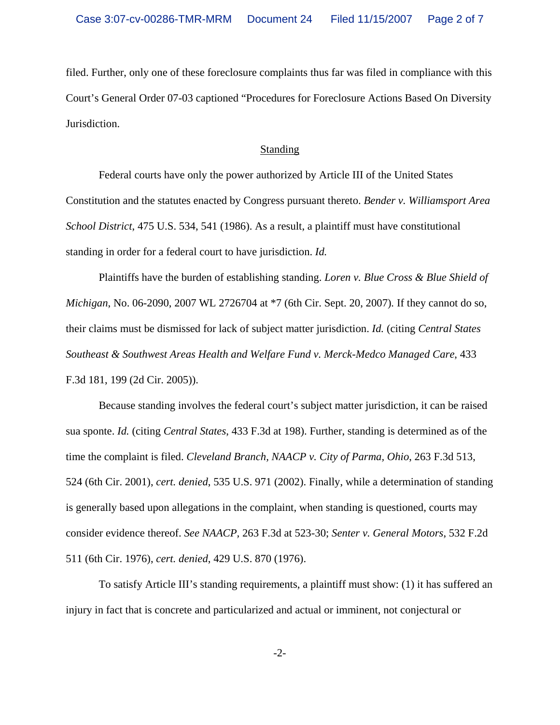filed. Further, only one of these foreclosure complaints thus far was filed in compliance with this Court's General Order 07-03 captioned "Procedures for Foreclosure Actions Based On Diversity Jurisdiction.

#### **Standing**

Federal courts have only the power authorized by Article III of the United States Constitution and the statutes enacted by Congress pursuant thereto. *Bender v. Williamsport Area School District*, 475 U.S. 534, 541 (1986). As a result, a plaintiff must have constitutional standing in order for a federal court to have jurisdiction. *Id.*

Plaintiffs have the burden of establishing standing. *Loren v. Blue Cross & Blue Shield of Michigan*, No. 06-2090, 2007 WL 2726704 at \*7 (6th Cir. Sept. 20, 2007)*.* If they cannot do so, their claims must be dismissed for lack of subject matter jurisdiction. *Id.* (citing *Central States Southeast & Southwest Areas Health and Welfare Fund v. Merck-Medco Managed Care*, 433 F.3d 181, 199 (2d Cir. 2005)).

Because standing involves the federal court's subject matter jurisdiction, it can be raised sua sponte. *Id.* (citing *Central States*, 433 F.3d at 198). Further, standing is determined as of the time the complaint is filed. *Cleveland Branch, NAACP v. City of Parma, Ohio*, 263 F.3d 513, 524 (6th Cir. 2001), *cert. denied*, 535 U.S. 971 (2002). Finally, while a determination of standing is generally based upon allegations in the complaint, when standing is questioned, courts may consider evidence thereof. *See NAACP,* 263 F.3d at 523-30; *Senter v. General Motors*, 532 F.2d 511 (6th Cir. 1976), *cert. denied*, 429 U.S. 870 (1976).

To satisfy Article III's standing requirements, a plaintiff must show: (1) it has suffered an injury in fact that is concrete and particularized and actual or imminent, not conjectural or

-2-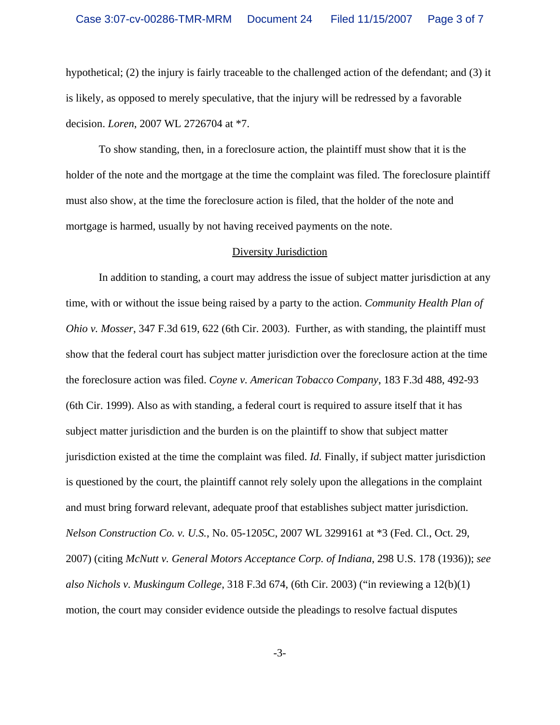hypothetical; (2) the injury is fairly traceable to the challenged action of the defendant; and (3) it is likely, as opposed to merely speculative, that the injury will be redressed by a favorable decision. *Loren*, 2007 WL 2726704 at \*7.

To show standing, then, in a foreclosure action, the plaintiff must show that it is the holder of the note and the mortgage at the time the complaint was filed. The foreclosure plaintiff must also show, at the time the foreclosure action is filed, that the holder of the note and mortgage is harmed, usually by not having received payments on the note.

#### Diversity Jurisdiction

In addition to standing, a court may address the issue of subject matter jurisdiction at any time, with or without the issue being raised by a party to the action. *Community Health Plan of Ohio v. Mosser*, 347 F.3d 619, 622 (6th Cir. 2003). Further, as with standing, the plaintiff must show that the federal court has subject matter jurisdiction over the foreclosure action at the time the foreclosure action was filed. *Coyne v. American Tobacco Company*, 183 F.3d 488, 492-93 (6th Cir. 1999). Also as with standing, a federal court is required to assure itself that it has subject matter jurisdiction and the burden is on the plaintiff to show that subject matter jurisdiction existed at the time the complaint was filed. *Id.* Finally, if subject matter jurisdiction is questioned by the court, the plaintiff cannot rely solely upon the allegations in the complaint and must bring forward relevant, adequate proof that establishes subject matter jurisdiction. *Nelson Construction Co. v. U.S.*, No. 05-1205C, 2007 WL 3299161 at \*3 (Fed. Cl., Oct. 29, 2007) (citing *McNutt v. General Motors Acceptance Corp. of Indiana*, 298 U.S. 178 (1936)); *see also Nichols v. Muskingum College*, 318 F.3d 674, (6th Cir. 2003) ("in reviewing a 12(b)(1) motion, the court may consider evidence outside the pleadings to resolve factual disputes

-3-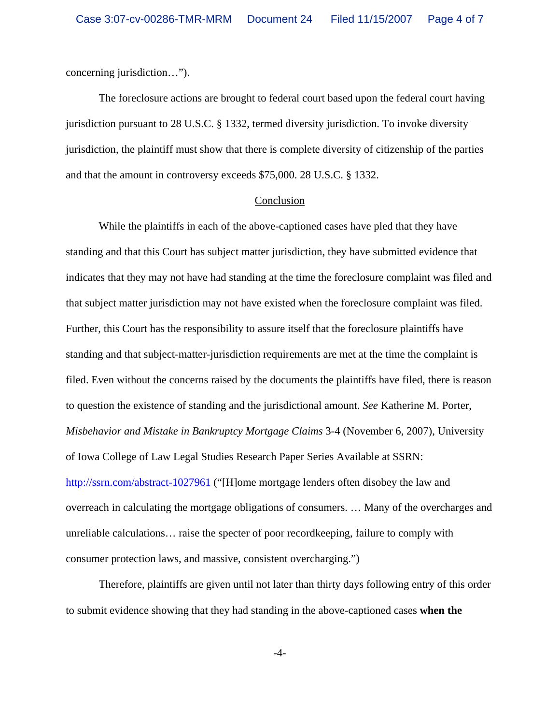concerning jurisdiction…").

The foreclosure actions are brought to federal court based upon the federal court having jurisdiction pursuant to 28 U.S.C. § 1332, termed diversity jurisdiction. To invoke diversity jurisdiction, the plaintiff must show that there is complete diversity of citizenship of the parties and that the amount in controversy exceeds \$75,000. 28 U.S.C. § 1332.

#### Conclusion

While the plaintiffs in each of the above-captioned cases have pled that they have standing and that this Court has subject matter jurisdiction, they have submitted evidence that indicates that they may not have had standing at the time the foreclosure complaint was filed and that subject matter jurisdiction may not have existed when the foreclosure complaint was filed. Further, this Court has the responsibility to assure itself that the foreclosure plaintiffs have standing and that subject-matter-jurisdiction requirements are met at the time the complaint is filed. Even without the concerns raised by the documents the plaintiffs have filed, there is reason to question the existence of standing and the jurisdictional amount. *See* Katherine M. Porter, *Misbehavior and Mistake in Bankruptcy Mortgage Claims* 3-4 (November 6, 2007), University of Iowa College of Law Legal Studies Research Paper Series Available at SSRN: http://ssrn.com/abstract-1027961 ("[H]ome mortgage lenders often disobey the law and overreach in calculating the mortgage obligations of consumers. … Many of the overcharges and unreliable calculations… raise the specter of poor recordkeeping, failure to comply with consumer protection laws, and massive, consistent overcharging.")

Therefore, plaintiffs are given until not later than thirty days following entry of this order to submit evidence showing that they had standing in the above-captioned cases **when the**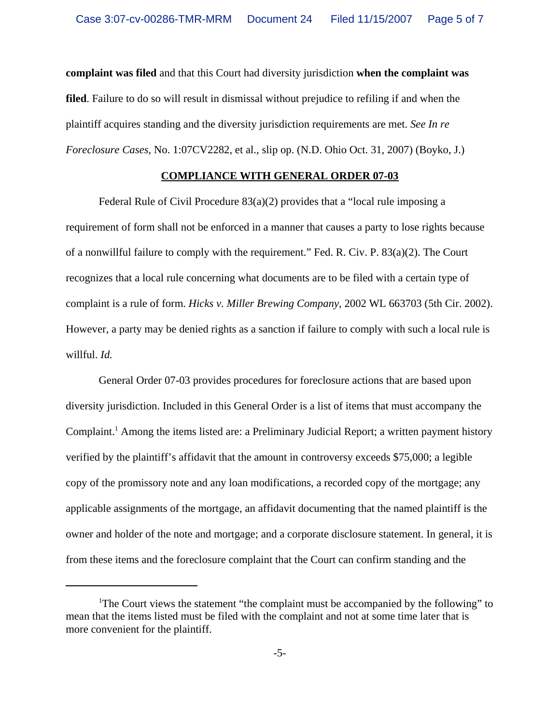**complaint was filed** and that this Court had diversity jurisdiction **when the complaint was filed**. Failure to do so will result in dismissal without prejudice to refiling if and when the plaintiff acquires standing and the diversity jurisdiction requirements are met. *See In re Foreclosure Cases*, No. 1:07CV2282, et al., slip op. (N.D. Ohio Oct. 31, 2007) (Boyko, J.)

#### **COMPLIANCE WITH GENERAL ORDER 07-03**

Federal Rule of Civil Procedure 83(a)(2) provides that a "local rule imposing a requirement of form shall not be enforced in a manner that causes a party to lose rights because of a nonwillful failure to comply with the requirement." Fed. R. Civ. P. 83(a)(2). The Court recognizes that a local rule concerning what documents are to be filed with a certain type of complaint is a rule of form. *Hicks v. Miller Brewing Company*, 2002 WL 663703 (5th Cir. 2002). However, a party may be denied rights as a sanction if failure to comply with such a local rule is willful. *Id.*

General Order 07-03 provides procedures for foreclosure actions that are based upon diversity jurisdiction. Included in this General Order is a list of items that must accompany the Complaint.<sup>1</sup> Among the items listed are: a Preliminary Judicial Report; a written payment history verified by the plaintiff's affidavit that the amount in controversy exceeds \$75,000; a legible copy of the promissory note and any loan modifications, a recorded copy of the mortgage; any applicable assignments of the mortgage, an affidavit documenting that the named plaintiff is the owner and holder of the note and mortgage; and a corporate disclosure statement. In general, it is from these items and the foreclosure complaint that the Court can confirm standing and the

<sup>&</sup>lt;sup>1</sup>The Court views the statement "the complaint must be accompanied by the following" to mean that the items listed must be filed with the complaint and not at some time later that is more convenient for the plaintiff.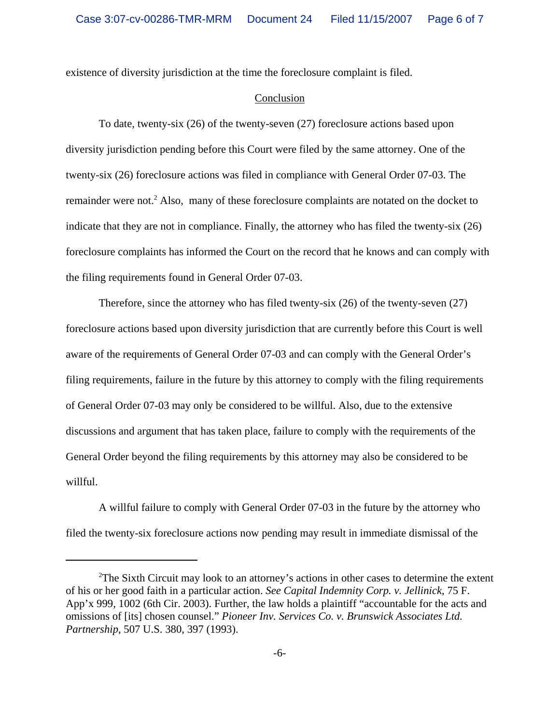existence of diversity jurisdiction at the time the foreclosure complaint is filed.

### Conclusion

To date, twenty-six (26) of the twenty-seven (27) foreclosure actions based upon diversity jurisdiction pending before this Court were filed by the same attorney. One of the twenty-six (26) foreclosure actions was filed in compliance with General Order 07-03. The remainder were not.<sup>2</sup> Also, many of these foreclosure complaints are notated on the docket to indicate that they are not in compliance. Finally, the attorney who has filed the twenty-six (26) foreclosure complaints has informed the Court on the record that he knows and can comply with the filing requirements found in General Order 07-03.

Therefore, since the attorney who has filed twenty-six (26) of the twenty-seven (27) foreclosure actions based upon diversity jurisdiction that are currently before this Court is well aware of the requirements of General Order 07-03 and can comply with the General Order's filing requirements, failure in the future by this attorney to comply with the filing requirements of General Order 07-03 may only be considered to be willful. Also, due to the extensive discussions and argument that has taken place, failure to comply with the requirements of the General Order beyond the filing requirements by this attorney may also be considered to be willful.

A willful failure to comply with General Order 07-03 in the future by the attorney who filed the twenty-six foreclosure actions now pending may result in immediate dismissal of the

<sup>&</sup>lt;sup>2</sup>The Sixth Circuit may look to an attorney's actions in other cases to determine the extent of his or her good faith in a particular action. *See Capital Indemnity Corp. v. Jellinick*, 75 F. App'x 999, 1002 (6th Cir. 2003). Further, the law holds a plaintiff "accountable for the acts and omissions of [its] chosen counsel." *Pioneer Inv. Services Co. v. Brunswick Associates Ltd. Partnership*, 507 U.S. 380, 397 (1993).